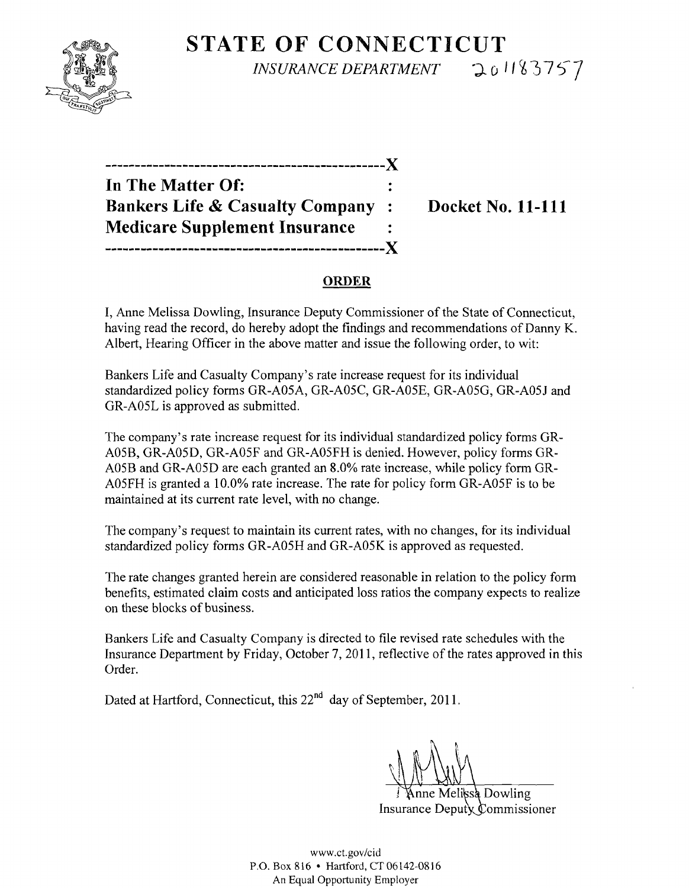

**STATE OF CONNECTICUT**  *INSURANCE DEPARTMENT* 201183757

| In The Matter Of:                          |                |
|--------------------------------------------|----------------|
| <b>Bankers Life &amp; Casualty Company</b> | $\mathbb{R}^2$ |
| <b>Medicare Supplement Insurance</b>       |                |
| -----------------------                    |                |

**Docket No. 11-111** 

## **ORDER**

I, Anne Melissa Dowling, Insurance Deputy Commissioner of the State of Connecticut, having read the record, do hereby adopt the findings and recommendations of Danny K. Albert, Hearing Officer in the above matter and issue the following order, to wit:

Bankers Life and Casualty Company's rate increase request for its individual standardized policy forms GR-A05A, GR-A05C, GR-A05E, GR-A05G, GR-A05J and GR-A05L is approved as submitted.

The company's rate increase request for its individual standardized policy forms GR-A05B, GR-A05D, GR-A05F and GR-A05FH is denied. However, policy forms GR-A05B and GR-A05D are each granted an 8.0% rate increase, while policy form GR-A05FH is granted a 10.0% rate increase. The rate for policy form GR-A05F is to be maintained at its current rate level, with no change.

The company's request to maintain its current rates, with no changes, for its individual standardized policy forms GR-A05H and GR-A05K is approved as requested.

The rate changes granted herein are considered reasonable in relation to the policy form benefits, estimated claim costs and anticipated loss ratios the company expects to realize on these blocks of business.

Bankers Life and Casualty Company is directed to file revised rate schedules with the Insurance Department by Friday, October 7,2011, reflective of the rates approved in this Order.

Dated at Hartford, Connecticut, this 22<sup>nd</sup> day of September, 2011.

Melissa Dowling Insurance Deputy Commissioner

www.ct.gov/cid P.O. Box 816 • Hartford, CT 06142-0816 An Equal Opportunity Employer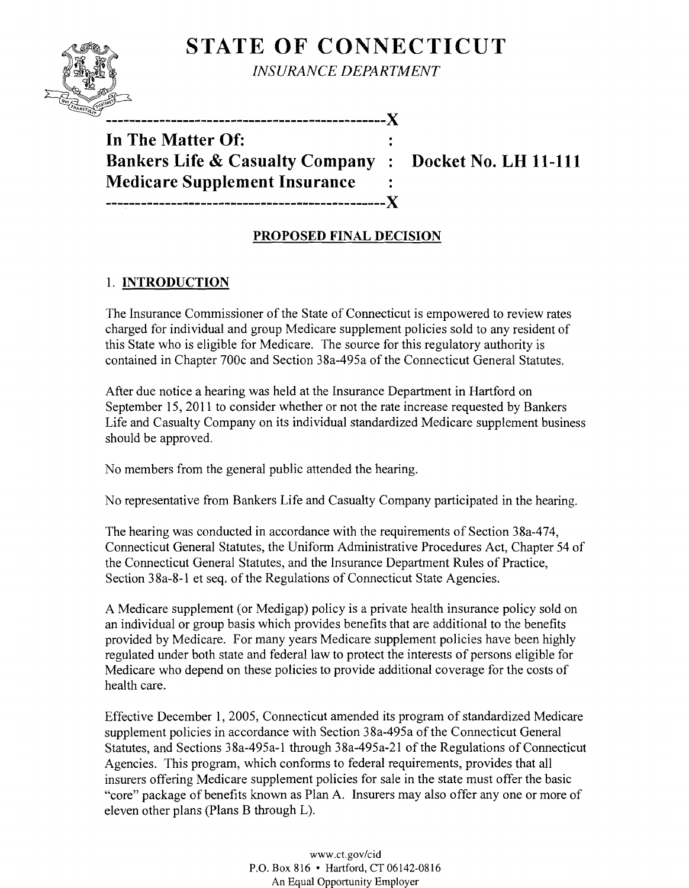# **STATE OF CONNECTICUT**



*INSURANCE DEPARTMENT* 

-------------------------X

**In The Matter Of: Bankers Life & Casualty Company : Docket No. LH 11-111 Medicare Supplement Insurance** 

---~-------------------------------------------X

## **PROPOSED FINAL DECISION**

## 1. **INTRODUCTION**

The Insurance Commissioner of the State of Connecticut is empowered to review rates charged for individual and group Medicare supplement policies sold to any resident of this State who is eligible for Medicare. The source for this regulatory authority is contained in Chapter 700c and Section 38a-495a of the Connecticut General Statutes.

After due notice a hearing was held at the Insurance Department in Hartford on September 15,2011 to consider whether or not the rate increase requested by Bankers Life and Casualty Company on its individual standardized Medicare supplement business should be approved.

No members from the general public attended the hearing.

No representative from Bankers Life and Casualty Company participated in the hearing.

The hearing was conducted in accordance with the requirements of Section 38a-474, Connecticut General Statutes, the Uniform Administrative Procedures Act, Chapter 54 of the Connecticut General Statutes, and the Insurance Department Rules of Practice, Section 38a-8-l et seq. of the Regulations of Connecticut State Agencies.

A Medicare supplement (or Medigap) policy is a private health insurance policy sold on an individual or group basis which provides benefits that are additional to the benefits provided by Medicare. For many years Medicare supplement policies have been highly regulated under both state and federal law to protect the interests of persons eligible for Medicare who depend on these policies to provide additional coverage for the costs of health care.

Effective December 1, 2005, Connecticut amended its program of standardized Medicare supplement policies in accordance with Section 38a-495a of the Connecticut General Statutes, and Sections 38a-495a-l through 38a-495a-2l of the Regulations of Connecticut Agencies. This program, which conforms to federal requirements, provides that all insurers offering Medicare supplement policies for sale in the state must offer the basic "core" package of benefits known as Plan A. Insurers may also offer anyone or more of eleven other plans (Plans B through L).

> www.ct.gov/cid P.O. Box 816 • Hartford, CT 06142-0816 An Equal Opportunity Employer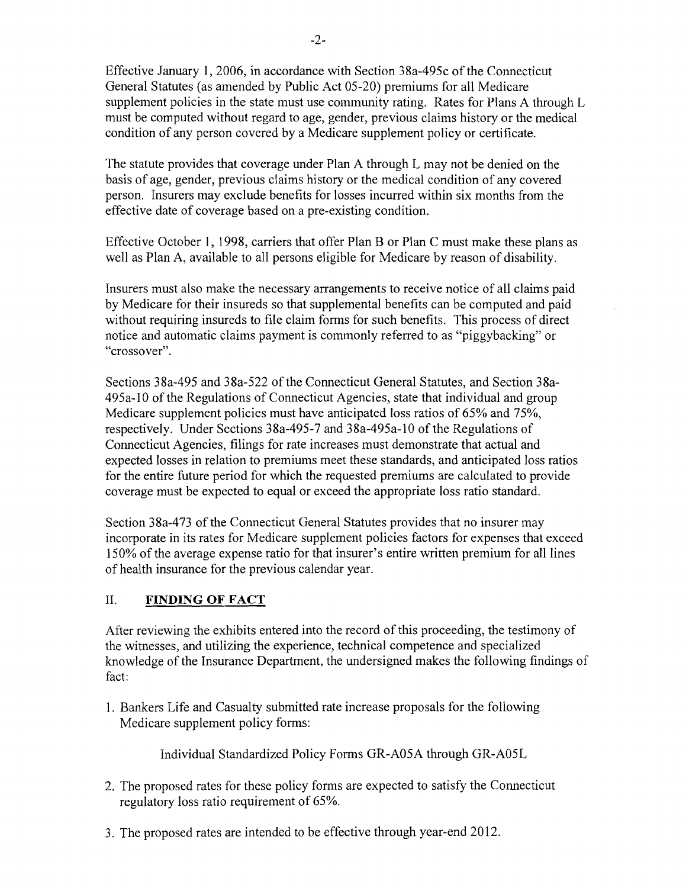Effective January 1,2006, in accordance with Section 38a-495c of the Connecticut General Statutes (as amended by Public Act 05-20) premiums for all Medicare supplement policies in the state must use community rating. Rates for Plans A through L must be computed without regard to age, gender, previous claims history or the medical condition of any person covered by a Medicare supplement policy or certificate.

The statute provides that coverage under Plan A through L may not be denied on the basis of age, gender, previous claims history or the medical condition of any covered person. Insurers may exclude benefits for losses incurred within six months from the effective date of coverage based on a pre-existing condition.

Effective October 1, 1998, carriers that offer Plan B or Plan C must make these plans as well as Plan A, available to all persons eligible for Medicare by reason of disability.

Insurers must also make the necessary arrangements to receive notice of all claims paid by Medicare for their insureds so that supplemental benefits can be computed and paid without requiring insureds to file claim forms for such benefits. This process of direct notice and automatic claims payment is commonly referred to as "piggybacking" or "crossover".

Sections 38a-495 and 38a-522 of the Connecticut General Statutes, and Section 38a-495a-lO of the Regulations of Connecticut Agencies, state that individual and group Medicare supplement policies must have anticipated loss ratios of 65% and 75%, respectively. Under Sections 38a-495-7 and 38a-495a-lO of the Regulations of Connecticut Agencies, filings for rate increases must demonstrate that actual and expected losses in relation to premiums meet these standards, and anticipated loss ratios for the entire future period for which the requested premiums are calculated to provide coverage must be expected to equal or exceed the appropriate loss ratio standard.

Section 38a-473 of the Connecticut General Statutes provides that no insurer may incorporate in its rates for Medicare supplement policies factors for expenses that exceed 150% of the average expense ratio for that insurer's entire written premium for all lines of health insurance for the previous calendar year.

#### II. **FINDING OF FACT**

After reviewing the exhibits entered into the record of this proceeding, the testimony of the witnesses, and utilizing the experience, technical competence and specialized knowledge of the Insurance Department, the undersigned makes the following findings of fact:

1. Bankers Life and Casualty submitted rate increase proposals for the following Medicare supplement policy forms:

Individual Standardized Policy Forms GR-A05A through GR-A05L

- 2. The proposed rates for these policy forms are expected to satisfy the Connecticut regulatory loss ratio requirement of 65%.
- 3. The proposed rates are intended to be effective through year-end 2012.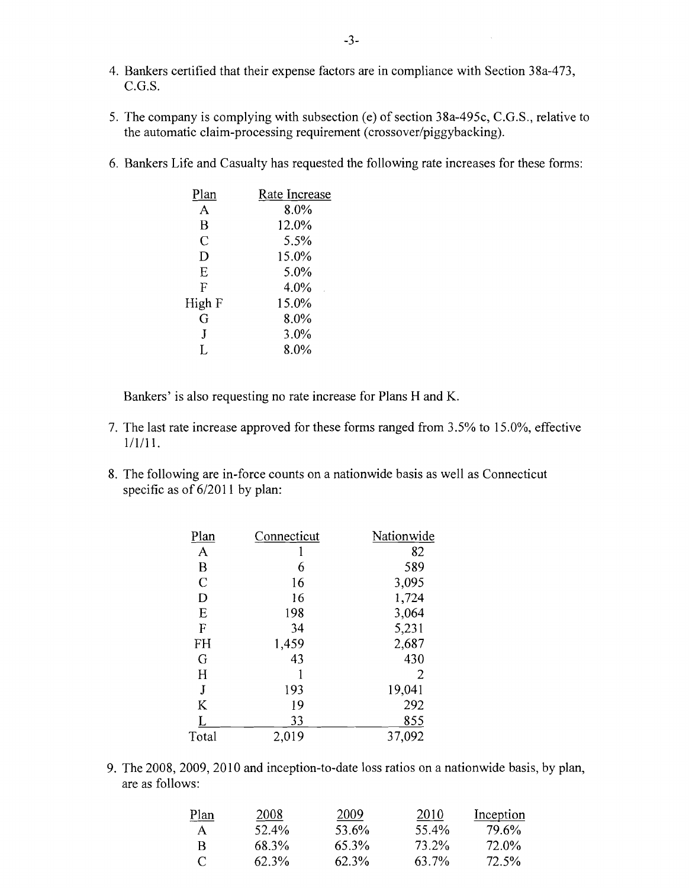- 4. Bankers certified that their expense factors are in compliance with Section 38a-473, C.G.S.
- 5. The company is complying with subsection (e) of section 38a-495c, C.G.S., relative to the automatic claim-processing requirement (crossover/piggybacking).
- 6. Bankers Life and Casualty has requested the following rate increases for these forms:

| Rate Increase |
|---------------|
| 8.0%          |
| 12.0%         |
| 5.5%          |
| 15.0%         |
| 5.0%          |
| 4.0%          |
| 15.0%         |
| 8.0%          |
| 3.0%          |
| 8.0%          |
|               |

Bankers' is also requesting no rate increase for Plans H and K.

- 7. The last rate increase approved for these forms ranged from 3.5% to 15.0%, effective 1/1/11.
- 8. The following are in-force counts on a nationwide basis as well as Connecticut specific as of  $6/2011$  by plan:

| Plan          | Connecticut | Nationwide |
|---------------|-------------|------------|
| A             |             | 82         |
| B             | 6           | 589        |
| $\mathcal{C}$ | 16          | 3,095      |
| D             | 16          | 1,724      |
| E             | 198         | 3,064      |
| $\mathbf{F}$  | 34          | 5,231      |
| FH            | 1,459       | 2,687      |
| G             | 43          | 430        |
| H             |             | 2          |
| J             | 193         | 19,041     |
| K             | 19          | 292        |
| L             | 33          | 855        |
| Total         | 2,019       | 37,092     |

9. The 2008, 2009, 2010 and inception-to-date loss ratios on a nationwide basis, by plan, are as follows:

| $Plan$   | 2008     | 2009  | 2010  | Inception |
|----------|----------|-------|-------|-----------|
| A.       | 52.4%    | 53.6% | 55.4% | 79.6%     |
| R        | 68.3%    | 65.3% | 73.2% | 72.0%     |
| $\Gamma$ | $62.3\%$ | 62.3% | 63.7% | 72.5%     |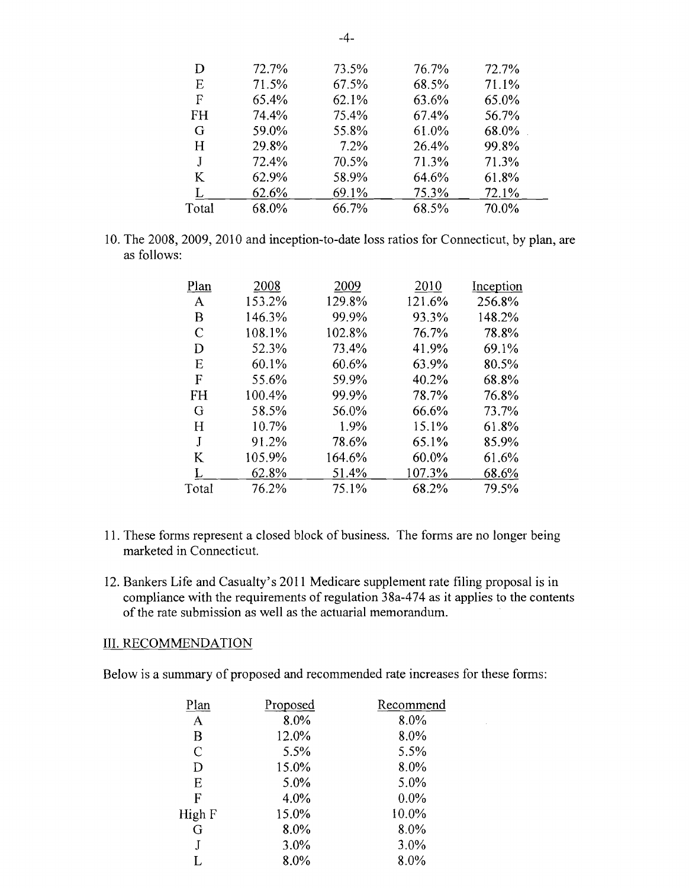| D         | 72.7% | 73.5% | 76.7% | 72.7% |  |
|-----------|-------|-------|-------|-------|--|
| Е         | 71.5% | 67.5% | 68.5% | 71.1% |  |
| F         | 65.4% | 62.1% | 63.6% | 65.0% |  |
| <b>FH</b> | 74.4% | 75.4% | 67.4% | 56.7% |  |
| G         | 59.0% | 55.8% | 61.0% | 68.0% |  |
| H         | 29.8% | 7.2%  | 26.4% | 99.8% |  |
| J         | 72.4% | 70.5% | 71.3% | 71.3% |  |
| K         | 62.9% | 58.9% | 64.6% | 61.8% |  |
| I.        | 62.6% | 69.1% | 75.3% | 72.1% |  |
| Total     | 68.0% | 66.7% | 68.5% | 70.0% |  |
|           |       |       |       |       |  |

10. The 2008, 2009, 2010 and inception-to-date loss ratios for Connecticut, by plan, are as follows:

| Plan      | 2008   | 2009   | 2010   | Inception |
|-----------|--------|--------|--------|-----------|
| A         | 153.2% | 129.8% | 121.6% | 256.8%    |
| В         | 146.3% | 99.9%  | 93.3%  | 148.2%    |
| C         | 108.1% | 102.8% | 76.7%  | 78.8%     |
| D         | 52.3%  | 73.4%  | 41.9%  | 69.1%     |
| Е         | 60.1%  | 60.6%  | 63.9%  | 80.5%     |
| F         | 55.6%  | 59.9%  | 40.2%  | 68.8%     |
| <b>FH</b> | 100.4% | 99.9%  | 78.7%  | 76.8%     |
| G         | 58.5%  | 56.0%  | 66.6%  | 73.7%     |
| Н         | 10.7%  | 1.9%   | 15.1%  | 61.8%     |
| J         | 91.2%  | 78.6%  | 65.1%  | 85.9%     |
| K         | 105.9% | 164.6% | 60.0%  | 61.6%     |
| Т.        | 62.8%  | 51.4%  | 107.3% | 68.6%     |
| Total     | 76.2%  | 75.1%  | 68.2%  | 79.5%     |
|           |        |        |        |           |

- 11. These forms represent a closed block of business. The forms are no longer being marketed in Connecticut.
- 12. Bankers Life and Casualty's 2011 Medicare supplement rate filing proposal is in compliance with the requirements of regulation 38a-474 as it applies to the contents of the rate submission as well as the actuarial memorandum.

#### III. RECOMMENDATION

Below is a summary of proposed and recommended rate increases for these forms:

| Proposed | Recommend |
|----------|-----------|
| 8.0%     | 8.0%      |
| 12.0%    | 8.0%      |
| 5.5%     | 5.5%      |
| 15.0%    | 8.0%      |
| 5.0%     | 5.0%      |
| 4.0%     | $0.0\%$   |
| 15.0%    | 10.0%     |
| 8.0%     | 8.0%      |
| 3.0%     | $3.0\%$   |
| 8.0%     | 8.0%      |
|          |           |